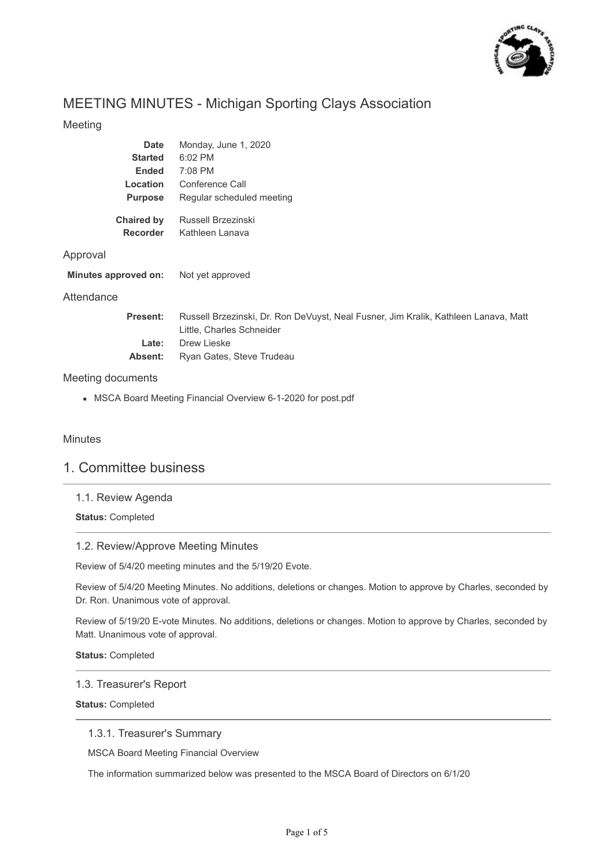

# MEETING MINUTES - Michigan Sporting Clays Association

# Meeting

| Date<br><b>Started</b><br><b>Ended</b><br>Location<br><b>Purpose</b> | Monday, June 1, 2020<br>6:02 PM<br>7:08 PM<br>Conference Call<br>Regular scheduled meeting                                      |
|----------------------------------------------------------------------|---------------------------------------------------------------------------------------------------------------------------------|
| Chaired by<br><b>Recorder</b>                                        | Russell Brzezinski<br>Kathleen Lanava                                                                                           |
| Approval                                                             |                                                                                                                                 |
| Minutes approved on:                                                 | Not yet approved                                                                                                                |
| Attendance                                                           |                                                                                                                                 |
| <b>Present:</b><br>Late:                                             | Russell Brzezinski, Dr. Ron DeVuyst, Neal Fusner, Jim Kralik, Kathleen Lanava, Matt<br>Little, Charles Schneider<br>Drew Lieske |
| Absent:                                                              | Ryan Gates, Steve Trudeau                                                                                                       |

# Meeting documents

MSCA Board Meeting Financial Overview 6-1-2020 for post.pdf

# **Minutes**

# 1. Committee business

# 1.1. Review Agenda

**Status:** Completed

# 1.2. Review/Approve Meeting Minutes

Review of 5/4/20 meeting minutes and the 5/19/20 Evote.

Review of 5/4/20 Meeting Minutes. No additions, deletions or changes. Motion to approve by Charles, seconded by Dr. Ron. Unanimous vote of approval.

Review of 5/19/20 E-vote Minutes. No additions, deletions or changes. Motion to approve by Charles, seconded by Matt. Unanimous vote of approval.

**Status:** Completed

#### 1.3. Treasurer's Report

**Status:** Completed

# 1.3.1. Treasurer's Summary

MSCA Board Meeting Financial Overview

The information summarized below was presented to the MSCA Board of Directors on 6/1/20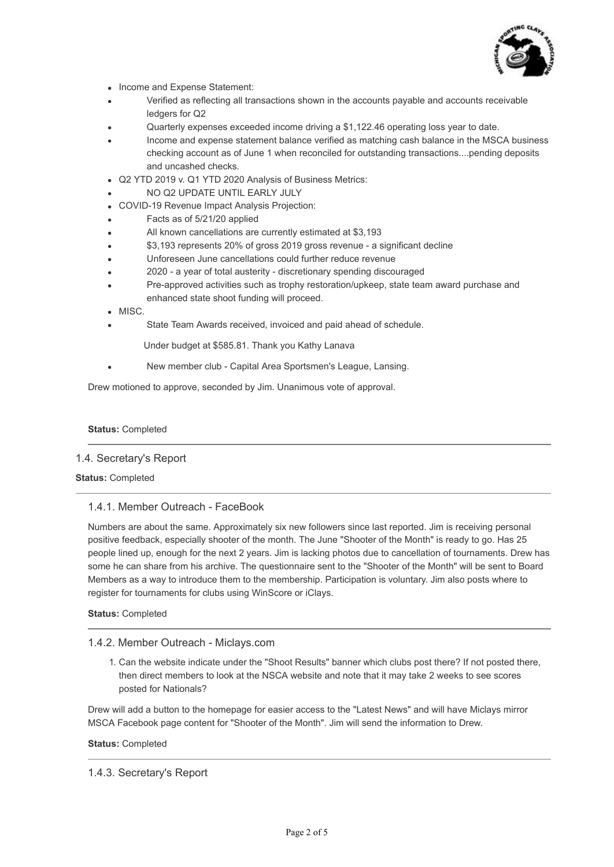

- Income and Expense Statement:
- Verified as reflecting all transactions shown in the accounts payable and accounts receivable ledgers for Q2
- Quarterly expenses exceeded income driving a \$1,122.46 operating loss year to date.
- Income and expense statement balance verified as matching cash balance in the MSCA business checking account as of June 1 when reconciled for outstanding transactions....pending deposits and uncashed checks.
- Q2 YTD 2019 v. Q1 YTD 2020 Analysis of Business Metrics:
- NO Q2 UPDATE UNTIL EARLY JULY
- COVID-19 Revenue Impact Analysis Projection:
- Facts as of 5/21/20 applied
- All known cancellations are currently estimated at \$3,193
- \$3,193 represents 20% of gross 2019 gross revenue a significant decline
- Unforeseen June cancellations could further reduce revenue
- 2020 a year of total austerity discretionary spending discouraged
- Pre-approved activities such as trophy restoration/upkeep, state team award purchase and enhanced state shoot funding will proceed.
- · MISC.
- State Team Awards received, invoiced and paid ahead of schedule.

Under budget at \$585.81. Thank you Kathy Lanava

New member club - Capital Area Sportsmen's League, Lansing.

Drew motioned to approve, seconded by Jim. Unanimous vote of approval.

#### **Status:** Completed

#### 1.4. Secretary's Report

#### **Status:** Completed

#### 1.4.1. Member Outreach - FaceBook

Numbers are about the same. Approximately six new followers since last reported. Jim is receiving personal positive feedback, especially shooter of the month. The June "Shooter of the Month" is ready to go. Has 25 people lined up, enough for the next 2 years. Jim is lacking photos due to cancellation of tournaments. Drew has some he can share from his archive. The questionnaire sent to the "Shooter of the Month" will be sent to Board Members as a way to introduce them to the membership. Participation is voluntary. Jim also posts where to register for tournaments for clubs using WinScore or iClays.

### **Status:** Completed

#### 1.4.2. Member Outreach - Miclays.com

1. Can the website indicate under the "Shoot Results" banner which clubs post there? If not posted there, then direct members to look at the NSCA website and note that it may take 2 weeks to see scores posted for Nationals?

Drew will add a button to the homepage for easier access to the "Latest News" and will have Miclays mirror MSCA Facebook page content for "Shooter of the Month". Jim will send the information to Drew.

#### **Status:** Completed

1.4.3. Secretary's Report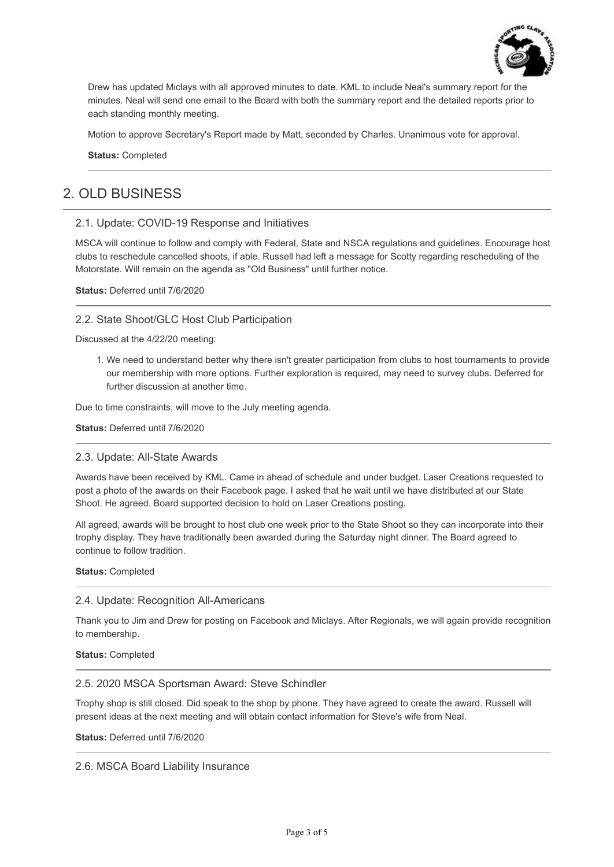

Drew has updated Miclays with all approved minutes to date. KML to include Neal's summary report for the minutes. Neal will send one email to the Board with both the summary report and the detailed reports prior to each standing monthly meeting.

Motion to approve Secretary's Report made by Matt, seconded by Charles. Unanimous vote for approval.

**Status:** Completed

# 2. OLD BUSINESS

### 2.1. Update: COVID-19 Response and Initiatives

MSCA will continue to follow and comply with Federal, State and NSCA regulations and guidelines. Encourage host clubs to reschedule cancelled shoots, if able. Russell had left a message for Scotty regarding rescheduling of the Motorstate. Will remain on the agenda as "Old Business" until further notice.

**Status:** Deferred until 7/6/2020

### 2.2. State Shoot/GLC Host Club Participation

Discussed at the 4/22/20 meeting:

1. We need to understand better why there isn't greater participation from clubs to host tournaments to provide our membership with more options. Further exploration is required, may need to survey clubs. Deferred for further discussion at another time.

Due to time constraints, will move to the July meeting agenda.

**Status:** Deferred until 7/6/2020

#### 2.3. Update: All-State Awards

Awards have been received by KML. Came in ahead of schedule and under budget. Laser Creations requested to post a photo of the awards on their Facebook page. I asked that he wait until we have distributed at our State Shoot. He agreed. Board supported decision to hold on Laser Creations posting.

All agreed, awards will be brought to host club one week prior to the State Shoot so they can incorporate into their trophy display. They have traditionally been awarded during the Saturday night dinner. The Board agreed to continue to follow tradition.

**Status:** Completed

#### 2.4. Update: Recognition All-Americans

Thank you to Jim and Drew for posting on Facebook and Miclays. After Regionals, we will again provide recognition to membership.

**Status:** Completed

#### 2.5. 2020 MSCA Sportsman Award: Steve Schindler

Trophy shop is still closed. Did speak to the shop by phone. They have agreed to create the award. Russell will present ideas at the next meeting and will obtain contact information for Steve's wife from Neal.

**Status:** Deferred until 7/6/2020

2.6. MSCA Board Liability Insurance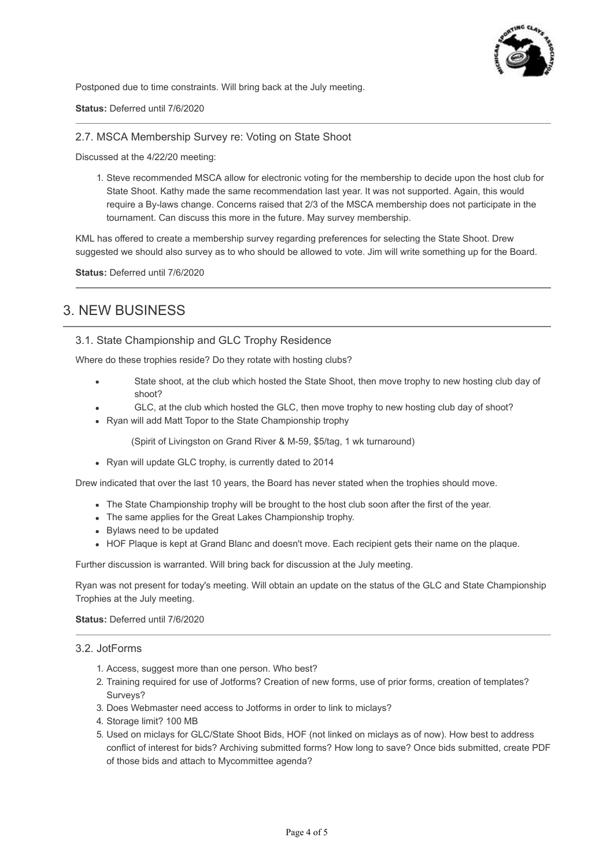

Postponed due to time constraints. Will bring back at the July meeting.

**Status:** Deferred until 7/6/2020

2.7. MSCA Membership Survey re: Voting on State Shoot

Discussed at the 4/22/20 meeting:

1. Steve recommended MSCA allow for electronic voting for the membership to decide upon the host club for State Shoot. Kathy made the same recommendation last year. It was not supported. Again, this would require a By-laws change. Concerns raised that 2/3 of the MSCA membership does not participate in the tournament. Can discuss this more in the future. May survey membership.

KML has offered to create a membership survey regarding preferences for selecting the State Shoot. Drew suggested we should also survey as to who should be allowed to vote. Jim will write something up for the Board.

**Status:** Deferred until 7/6/2020

# 3. NEW BUSINESS

3.1. State Championship and GLC Trophy Residence

Where do these trophies reside? Do they rotate with hosting clubs?

- State shoot, at the club which hosted the State Shoot, then move trophy to new hosting club day of shoot?
- GLC, at the club which hosted the GLC, then move trophy to new hosting club day of shoot?
- Ryan will add Matt Topor to the State Championship trophy

(Spirit of Livingston on Grand River & M-59, \$5/tag, 1 wk turnaround)

Ryan will update GLC trophy, is currently dated to 2014

Drew indicated that over the last 10 years, the Board has never stated when the trophies should move.

- The State Championship trophy will be brought to the host club soon after the first of the year.
- The same applies for the Great Lakes Championship trophy.
- Bylaws need to be updated
- HOF Plaque is kept at Grand Blanc and doesn't move. Each recipient gets their name on the plaque.

Further discussion is warranted. Will bring back for discussion at the July meeting.

Ryan was not present for today's meeting. Will obtain an update on the status of the GLC and State Championship Trophies at the July meeting.

#### **Status:** Deferred until 7/6/2020

#### 3.2. JotForms

- 1. Access, suggest more than one person. Who best?
- 2. Training required for use of Jotforms? Creation of new forms, use of prior forms, creation of templates? Surveys?
- 3. Does Webmaster need access to Jotforms in order to link to miclays?
- 4. Storage limit? 100 MB
- 5. Used on miclays for GLC/State Shoot Bids, HOF (not linked on miclays as of now). How best to address conflict of interest for bids? Archiving submitted forms? How long to save? Once bids submitted, create PDF of those bids and attach to Mycommittee agenda?